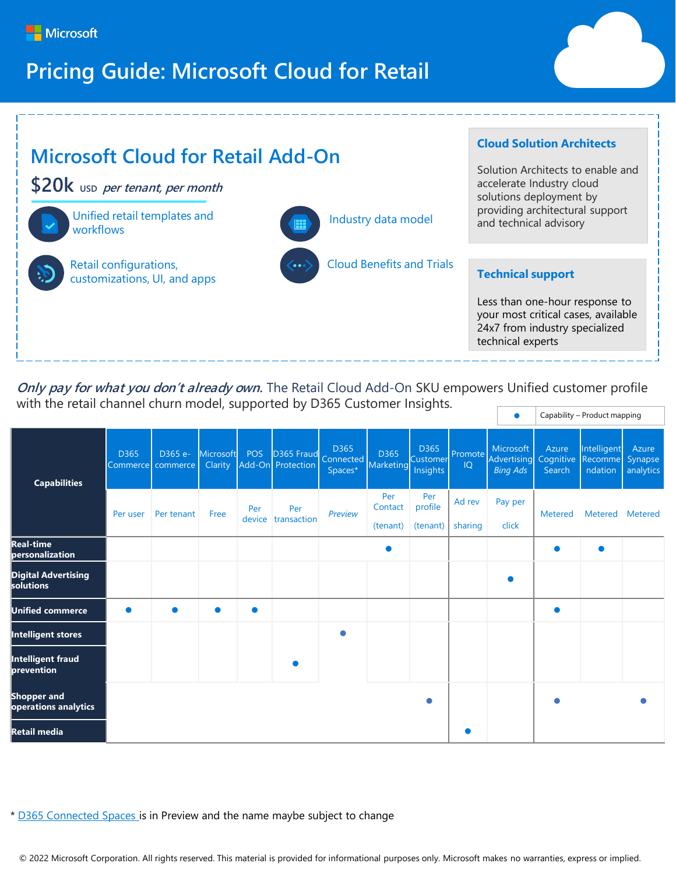

# **Pricing Guide: Microsoft Cloud for Retail**



**Only pay for what you don't already own.** The Retail Cloud Add-On SKU empowers Unified customer profile with the retail channel churn model, supported by D365 Customer Insights. Capability – Product mapping

| <b>Capabilities</b>                        | D365     | D365 e-<br>Commerce   commerce | Microsoft<br>Clarity | POS           | D365 Fraud<br>Add-On Protection | D365<br>Connected<br>Spaces* | D365<br>Marketing | D365<br>Customer<br>Insights | IQ      | Microsoft<br>Promote Advertising<br><b>Bing Ads</b> | Azure<br>Cognitive<br>Search | Intelligent<br>Recomme<br>ndation | Azure<br>Synapse<br>analytics |
|--------------------------------------------|----------|--------------------------------|----------------------|---------------|---------------------------------|------------------------------|-------------------|------------------------------|---------|-----------------------------------------------------|------------------------------|-----------------------------------|-------------------------------|
|                                            | Per user | Per tenant                     | Free                 | Per<br>device | Per<br>transaction              | Preview                      | Per<br>Contact    | Per<br>profile               | Ad rev  | Pay per                                             | <b>Metered</b>               | Metered                           | <b>Metered</b>                |
|                                            |          |                                |                      |               |                                 |                              | (tenant)          | (tenant)                     | sharing | click                                               |                              |                                   |                               |
| <b>Real-time</b><br>personalization        |          |                                |                      |               |                                 |                              | 0                 |                              |         |                                                     | $\bullet$                    | $\bullet$                         |                               |
| <b>Digital Advertising</b><br>solutions    |          |                                |                      |               |                                 |                              |                   |                              |         | ●                                                   |                              |                                   |                               |
| <b>Unified commerce</b>                    |          | $\bullet$                      | $\bullet$            | $\bullet$     |                                 |                              |                   |                              |         |                                                     | $\bullet$                    |                                   |                               |
| Intelligent stores                         |          |                                |                      |               |                                 | $\bullet$                    |                   |                              |         |                                                     |                              |                                   |                               |
| <b>Intelligent fraud</b><br>prevention     |          |                                |                      |               | $\bullet$                       |                              |                   |                              |         |                                                     |                              |                                   |                               |
| <b>Shopper and</b><br>operations analytics |          |                                |                      |               |                                 |                              |                   | $\bullet$                    |         |                                                     | ●                            |                                   |                               |
| Retail media                               |          |                                |                      |               |                                 |                              |                   |                              |         |                                                     |                              |                                   |                               |

\* [D365 Connected Spaces](https://dynamics.microsoft.com/en-us/connected-spaces/overview/) is in Preview and the name maybe subject to change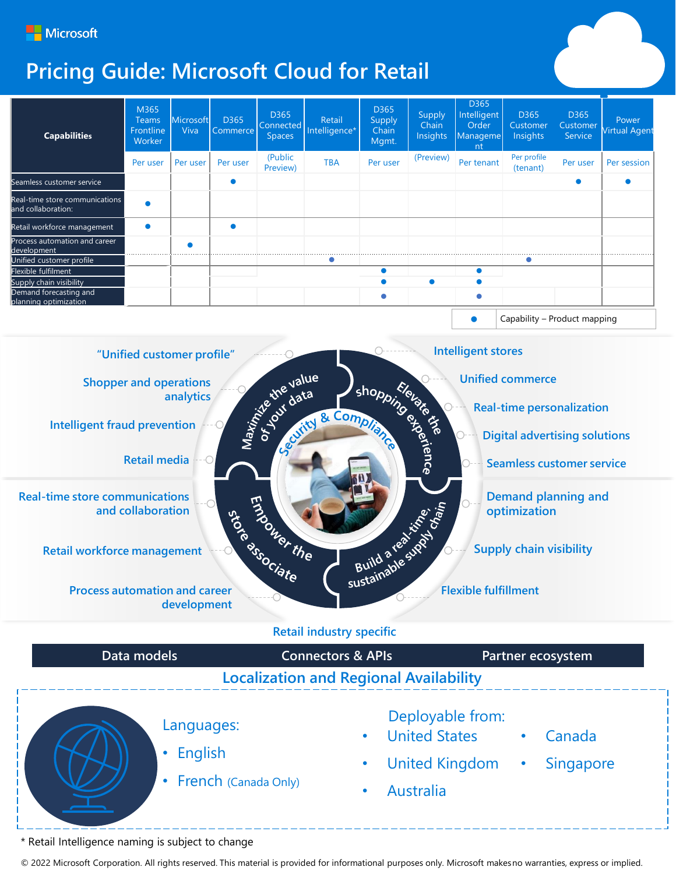

# **Pricing Guide: Microsoft Cloud for Retail**

| <b>Capabilities</b>                                  | M365<br><b>Teams</b><br>Frontline<br>Worker | Microsoft<br>Viva | D365<br>Commerce | D365<br>Connected<br><b>Spaces</b> | Retail<br>Intelligence* | D365<br>Supply<br>Chain<br>Mgmt. | Supply<br>Chain<br>Insights | D365<br>Intelligent<br>Order<br>Manageme<br>nt | D365<br>Customer<br>Insights | D365<br>Customer<br>Service | Power<br><b>Virtual Agent</b> |
|------------------------------------------------------|---------------------------------------------|-------------------|------------------|------------------------------------|-------------------------|----------------------------------|-----------------------------|------------------------------------------------|------------------------------|-----------------------------|-------------------------------|
|                                                      | Per user                                    | Per user          | Per user         | (Public<br>Preview)                | <b>TBA</b>              | Per user                         | (Preview)                   | Per tenant                                     | Per profile<br>(tenant)      | Per user                    | Per session                   |
| Seamless customer service                            |                                             |                   |                  |                                    |                         |                                  |                             |                                                |                              |                             |                               |
| Real-time store communications<br>and collaboration: |                                             |                   |                  |                                    |                         |                                  |                             |                                                |                              |                             |                               |
| Retail workforce management                          |                                             |                   |                  |                                    |                         |                                  |                             |                                                |                              |                             |                               |
| Process automation and career<br>development         |                                             | ٠                 |                  |                                    |                         |                                  |                             |                                                |                              |                             |                               |
| Unified customer profile                             |                                             |                   |                  |                                    |                         |                                  |                             |                                                |                              |                             |                               |
| Flexible fulfilment                                  |                                             |                   |                  |                                    |                         |                                  |                             |                                                |                              |                             |                               |
| Supply chain visibility                              |                                             |                   |                  |                                    |                         |                                  |                             |                                                |                              |                             |                               |
| Demand forecasting and<br>planning optimization      |                                             |                   |                  |                                    |                         |                                  |                             | ٠                                              |                              |                             |                               |
|                                                      |                                             |                   |                  |                                    |                         |                                  |                             |                                                | Capability - Product mapping |                             |                               |



#### **Retail industry specific**



\* Retail Intelligence naming is subject to change

© 2022 Microsoft Corporation. All rights reserved. This material is provided for informational purposes only. Microsoft makesno warranties, express or implied.